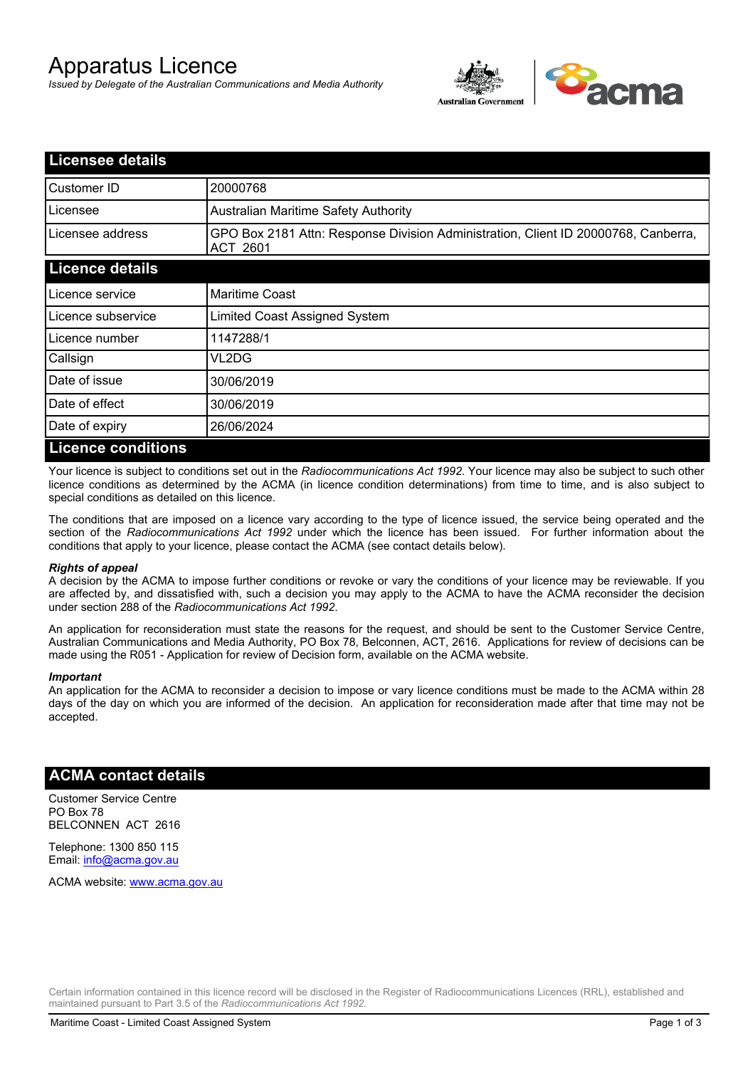# Apparatus Licence

*Issued by Delegate of the Australian Communications and Media Authority*



| <b>Licensee details</b>   |                                                                                                       |
|---------------------------|-------------------------------------------------------------------------------------------------------|
| Customer ID               | 20000768                                                                                              |
| Licensee                  | Australian Maritime Safety Authority                                                                  |
| Licensee address          | GPO Box 2181 Attn: Response Division Administration, Client ID 20000768, Canberra,<br><b>ACT 2601</b> |
| <b>Licence details</b>    |                                                                                                       |
| Licence service           | <b>Maritime Coast</b>                                                                                 |
| Licence subservice        | Limited Coast Assigned System                                                                         |
| Licence number            | 1147288/1                                                                                             |
| Callsign                  | VL2DG                                                                                                 |
| Date of issue             | 30/06/2019                                                                                            |
| Date of effect            | 30/06/2019                                                                                            |
| Date of expiry            | 26/06/2024                                                                                            |
| <b>Licence conditions</b> |                                                                                                       |

Your licence is subject to conditions set out in the *Radiocommunications Act 1992*. Your licence may also be subject to such other licence conditions as determined by the ACMA (in licence condition determinations) from time to time, and is also subject to special conditions as detailed on this licence.

The conditions that are imposed on a licence vary according to the type of licence issued, the service being operated and the section of the *Radiocommunications Act 1992* under which the licence has been issued. For further information about the conditions that apply to your licence, please contact the ACMA (see contact details below).

#### *Rights of appeal*

A decision by the ACMA to impose further conditions or revoke or vary the conditions of your licence may be reviewable. If you are affected by, and dissatisfied with, such a decision you may apply to the ACMA to have the ACMA reconsider the decision under section 288 of the *Radiocommunications Act 1992*.

An application for reconsideration must state the reasons for the request, and should be sent to the Customer Service Centre, Australian Communications and Media Authority, PO Box 78, Belconnen, ACT, 2616. Applications for review of decisions can be made using the R051 - Application for review of Decision form, available on the ACMA website.

#### *Important*

An application for the ACMA to reconsider a decision to impose or vary licence conditions must be made to the ACMA within 28 days of the day on which you are informed of the decision. An application for reconsideration made after that time may not be accepted.

### **ACMA contact details**

Customer Service Centre PO Box 78 BELCONNEN ACT 2616

Telephone: 1300 850 115 Email: info@acma.gov.au

ACMA website: www.acma.gov.au

Certain information contained in this licence record will be disclosed in the Register of Radiocommunications Licences (RRL), established and maintained pursuant to Part 3.5 of the *Radiocommunications Act 1992.*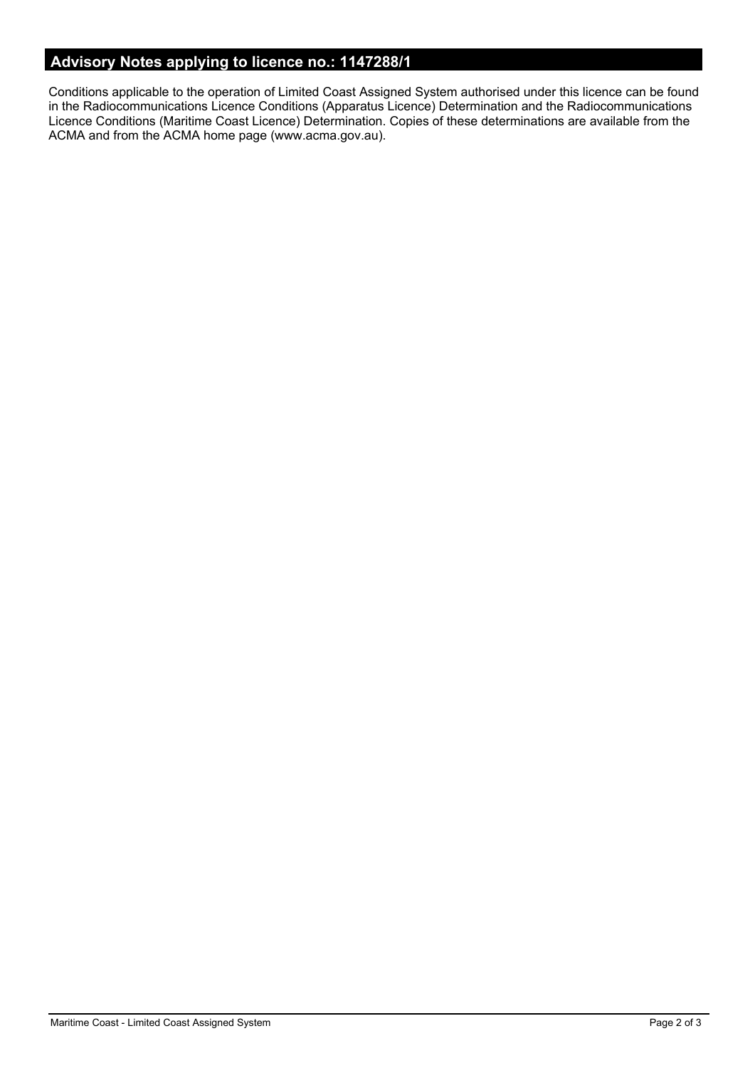## **Advisory Notes applying to licence no.: 1147288/1**

Conditions applicable to the operation of Limited Coast Assigned System authorised under this licence can be found in the Radiocommunications Licence Conditions (Apparatus Licence) Determination and the Radiocommunications Licence Conditions (Maritime Coast Licence) Determination. Copies of these determinations are available from the ACMA and from the ACMA home page (www.acma.gov.au).